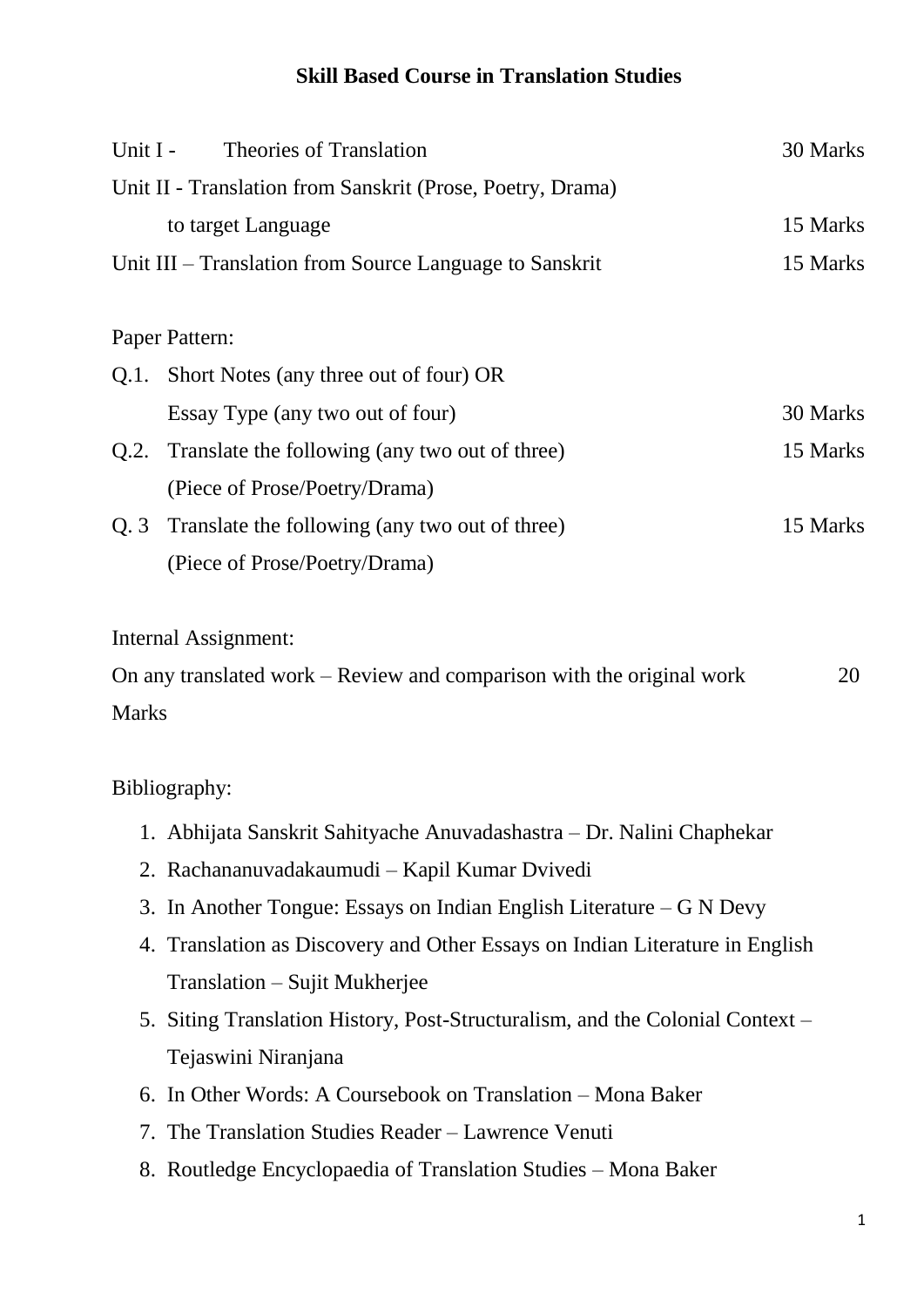## **Skill Based Course in Translation Studies**

| Unit I -                                                   | <b>Theories of Translation</b>                                        | 30 Marks |
|------------------------------------------------------------|-----------------------------------------------------------------------|----------|
| Unit II - Translation from Sanskrit (Prose, Poetry, Drama) |                                                                       |          |
|                                                            | to target Language                                                    | 15 Marks |
| Unit III – Translation from Source Language to Sanskrit    |                                                                       | 15 Marks |
|                                                            |                                                                       |          |
| Paper Pattern:                                             |                                                                       |          |
|                                                            | Q.1. Short Notes (any three out of four) OR                           |          |
|                                                            | Essay Type (any two out of four)                                      | 30 Marks |
| Q.2.                                                       | Translate the following (any two out of three)                        | 15 Marks |
|                                                            | (Piece of Prose/Poetry/Drama)                                         |          |
| Q.3                                                        | Translate the following (any two out of three)                        | 15 Marks |
|                                                            | (Piece of Prose/Poetry/Drama)                                         |          |
|                                                            | Internal Assignment:                                                  |          |
|                                                            | On any translated work – Review and comparison with the original work | 20       |
| <b>Marks</b>                                               |                                                                       |          |
|                                                            |                                                                       |          |
| Bibliography:                                              |                                                                       |          |
|                                                            | 1. Abhijata Sanskrit Sahityache Anuvadashastra – Dr. Nalini Chaphekar |          |

- 2. Rachananuvadakaumudi Kapil Kumar Dvivedi
- 3. In Another Tongue: Essays on Indian English Literature G N Devy
- 4. Translation as Discovery and Other Essays on Indian Literature in English Translation – Sujit Mukherjee
- 5. Siting Translation History, Post-Structuralism, and the Colonial Context Tejaswini Niranjana
- 6. In Other Words: A Coursebook on Translation Mona Baker
- 7. The Translation Studies Reader Lawrence Venuti
- 8. Routledge Encyclopaedia of Translation Studies Mona Baker